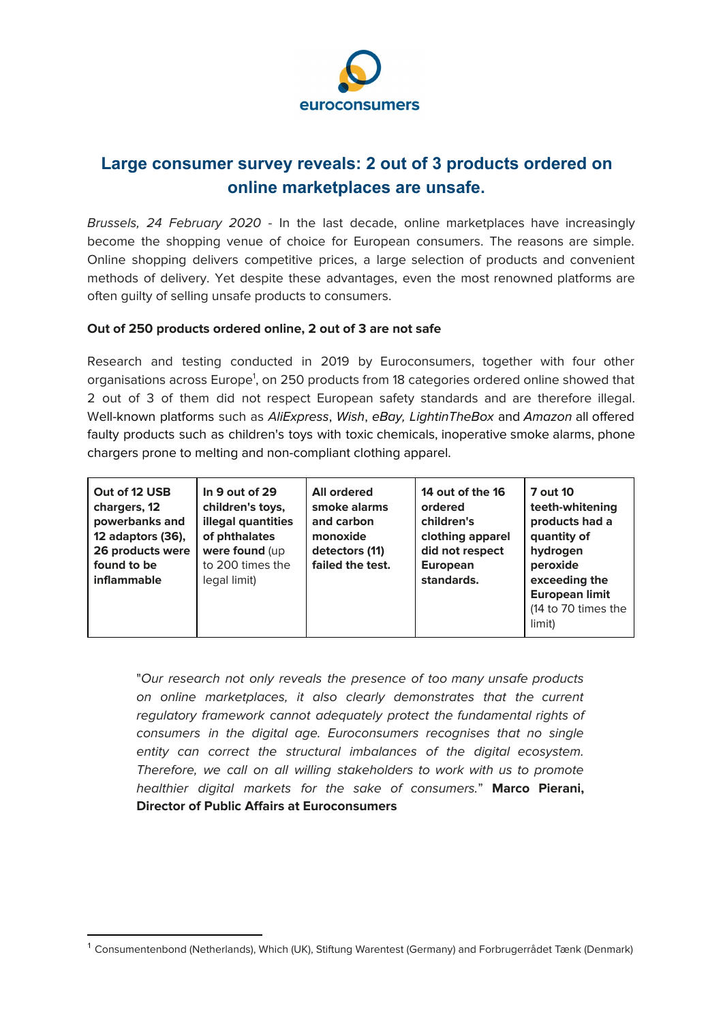

## **Large consumer survey reveals: 2 out of 3 products ordered on online marketplaces are unsafe.**

Brussels, 24 February 2020 - In the last decade, online marketplaces have increasingly become the shopping venue of choice for European consumers. The reasons are simple. Online shopping delivers competitive prices, a large selection of products and convenient methods of delivery. Yet despite these advantages, even the most renowned platforms are often guilty of selling unsafe products to consumers.

## **Out of 250 products ordered online, 2 out of 3 are not safe**

Research and testing conducted in 2019 by Euroconsumers, together with four other organisations across Europe<sup>1</sup>, on 250 products from 18 categories ordered online showed that 2 out of 3 of them did not respect European safety standards and are therefore illegal. Well-known platforms such as AliExpress, Wish, eBay, LightinTheBox and Amazon all offered faulty products such as children's toys with toxic chemicals, inoperative smoke alarms, phone chargers prone to melting and non-compliant clothing apparel.

| Out of 12 USB<br>chargers, 12<br>powerbanks and<br>12 adaptors (36),<br>26 products were<br>found to be<br>inflammable | In 9 out of 29<br>children's toys,<br>illegal quantities<br>of phthalates<br>were found (up<br>to 200 times the<br>legal limit) | <b>All ordered</b><br>smoke alarms<br>and carbon<br>monoxide<br>detectors (11)<br>failed the test. | 14 out of the 16<br>ordered<br>children's<br>clothing apparel<br>did not respect<br><b>European</b><br>standards. | <b>7 out 10</b><br>teeth-whitening<br>products had a<br>quantity of<br>hydrogen<br>peroxide<br>exceeding the<br><b>European limit</b><br>(14 to 70 times the<br>limit) |
|------------------------------------------------------------------------------------------------------------------------|---------------------------------------------------------------------------------------------------------------------------------|----------------------------------------------------------------------------------------------------|-------------------------------------------------------------------------------------------------------------------|------------------------------------------------------------------------------------------------------------------------------------------------------------------------|
|------------------------------------------------------------------------------------------------------------------------|---------------------------------------------------------------------------------------------------------------------------------|----------------------------------------------------------------------------------------------------|-------------------------------------------------------------------------------------------------------------------|------------------------------------------------------------------------------------------------------------------------------------------------------------------------|

"Our research not only reveals the presence of too many unsafe products on online marketplaces, it also clearly demonstrates that the current regulatory framework cannot adequately protect the fundamental rights of consumers in the digital age. Euroconsumers recognises that no single entity can correct the structural imbalances of the digital ecosystem. Therefore, we call on all willing stakeholders to work with us to promote healthier digital markets for the sake of consumers." **Marco Pierani, Director of Public Affairs at Euroconsumers**

<sup>1</sup> Consumentenbond (Netherlands), Which (UK), Stiftung Warentest (Germany) and Forbrugerrådet Tænk (Denmark)